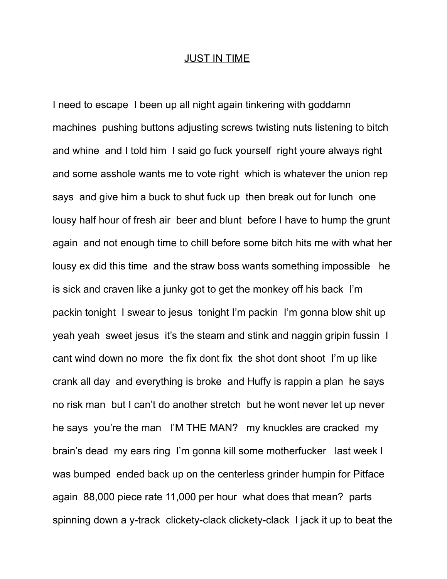## JUST IN TIME

I need to escape I been up all night again tinkering with goddamn machines pushing buttons adjusting screws twisting nuts listening to bitch and whine and I told him I said go fuck yourself right youre always right and some asshole wants me to vote right which is whatever the union rep says and give him a buck to shut fuck up then break out for lunch one lousy half hour of fresh air beer and blunt before I have to hump the grunt again and not enough time to chill before some bitch hits me with what her lousy ex did this time and the straw boss wants something impossible he is sick and craven like a junky got to get the monkey off his back I'm packin tonight I swear to jesus tonight I'm packin I'm gonna blow shit up yeah yeah sweet jesus it's the steam and stink and naggin gripin fussin I cant wind down no more the fix dont fix the shot dont shoot I'm up like crank all day and everything is broke and Huffy is rappin a plan he says no risk man but I can't do another stretch but he wont never let up never he says you're the man I'M THE MAN? my knuckles are cracked my brain's dead my ears ring I'm gonna kill some motherfucker last week I was bumped ended back up on the centerless grinder humpin for Pitface again 88,000 piece rate 11,000 per hour what does that mean? parts spinning down a y-track clickety-clack clickety-clack I jack it up to beat the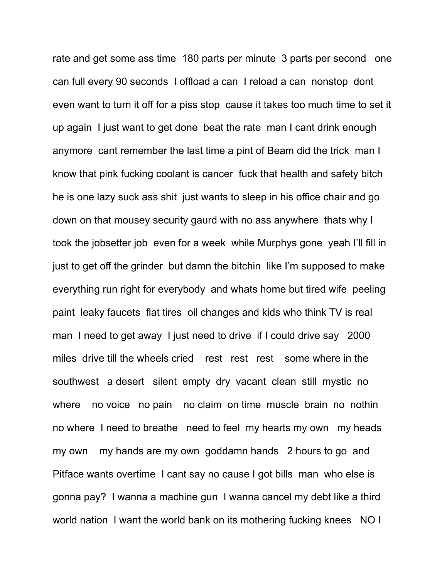rate and get some ass time 180 parts per minute 3 parts per second one can full every 90 seconds I offload a can I reload a can nonstop dont even want to turn it off for a piss stop cause it takes too much time to set it up again I just want to get done beat the rate man I cant drink enough anymore cant remember the last time a pint of Beam did the trick man I know that pink fucking coolant is cancer fuck that health and safety bitch he is one lazy suck ass shit just wants to sleep in his office chair and go down on that mousey security gaurd with no ass anywhere thats why I took the jobsetter job even for a week while Murphys gone yeah I'll fill in just to get off the grinder but damn the bitchin like I'm supposed to make everything run right for everybody and whats home but tired wife peeling paint leaky faucets flat tires oil changes and kids who think TV is real man I need to get away I just need to drive if I could drive say 2000 miles drive till the wheels cried rest rest rest some where in the southwest a desert silent empty dry vacant clean still mystic no where no voice no pain no claim on time muscle brain no nothin no where I need to breathe need to feel my hearts my own my heads my own my hands are my own goddamn hands 2 hours to go and Pitface wants overtime I cant say no cause I got bills man who else is gonna pay? I wanna a machine gun I wanna cancel my debt like a third world nation I want the world bank on its mothering fucking knees NO I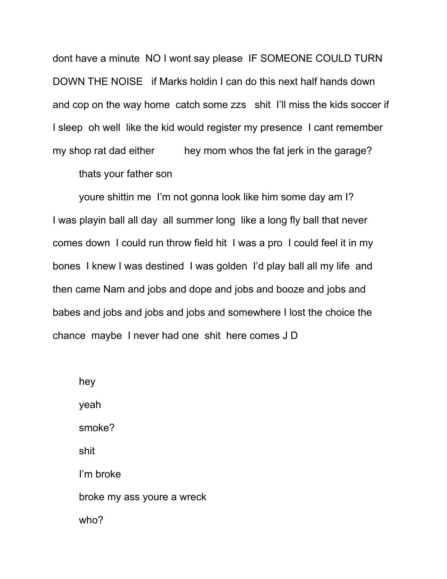dont have a minute NO I wont say please IF SOMEONE COULD TURN DOWN THE NOISE if Marks holdin I can do this next half hands down and cop on the way home catch some zzs shit I'll miss the kids soccer if I sleep oh well like the kid would register my presence I cant remember my shop rat dad either hey mom whos the fat jerk in the garage?

thats your father son

 youre shittin me I'm not gonna look like him some day am I? I was playin ball all day all summer long like a long fly ball that never comes down I could run throw field hit I was a pro I could feel it in my bones I knew I was destined I was golden I'd play ball all my life and then came Nam and jobs and dope and jobs and booze and jobs and babes and jobs and jobs and jobs and somewhere I lost the choice the chance maybe I never had one shit here comes J D

 hey yeah smoke? shit I'm broke broke my ass youre a wreck who?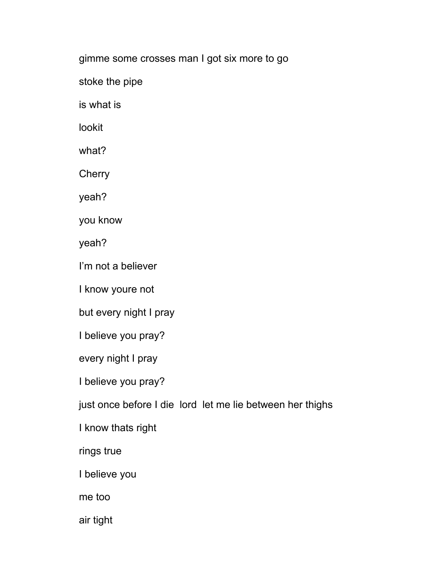gimme some crosses man I got six more to go

stoke the pipe

is what is

lookit

what?

**Cherry** 

yeah?

you know

yeah?

I'm not a believer

I know youre not

but every night I pray

I believe you pray?

every night I pray

I believe you pray?

just once before I die lord let me lie between her thighs

I know thats right

rings true

I believe you

me too

air tight